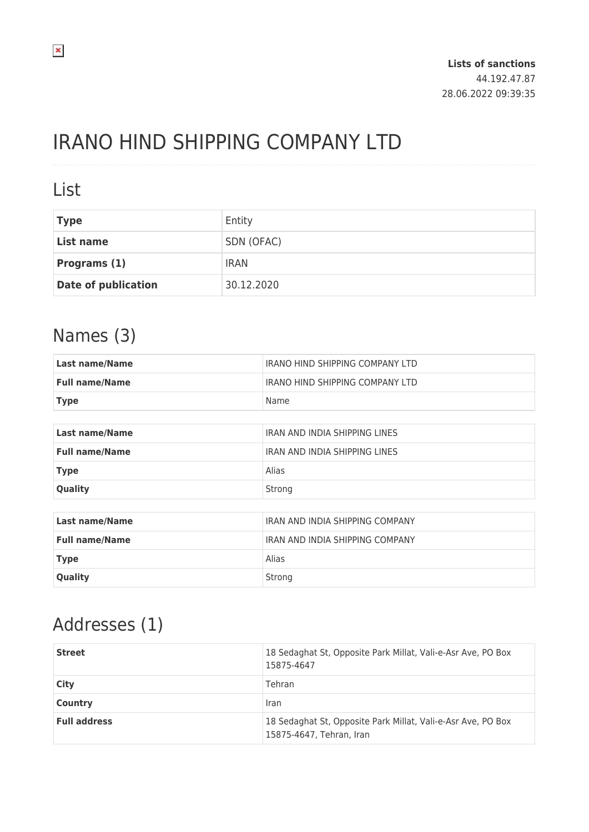# IRANO HIND SHIPPING COMPANY LTD

#### List

| <b>Type</b>                | Entity      |
|----------------------------|-------------|
| List name                  | SDN (OFAC)  |
| Programs (1)               | <b>IRAN</b> |
| <b>Date of publication</b> | 30.12.2020  |

### Names (3)

| <b>Last name/Name</b> | <b>IRANO HIND SHIPPING COMPANY LTD</b> |  |
|-----------------------|----------------------------------------|--|
| <b>Full name/Name</b> | <b>IRANO HIND SHIPPING COMPANY LTD</b> |  |
| <b>Type</b>           | Name                                   |  |
|                       |                                        |  |
| <b>Last name/Name</b> | <b>IRAN AND INDIA SHIPPING LINES</b>   |  |
| <b>Full name/Name</b> | <b>IRAN AND INDIA SHIPPING LINES</b>   |  |
| <b>Type</b>           | Alias                                  |  |
| Quality               | Strong                                 |  |
|                       |                                        |  |
| <b>Last name/Name</b> | <b>IRAN AND INDIA SHIPPING COMPANY</b> |  |
| <b>Full name/Name</b> | <b>IRAN AND INDIA SHIPPING COMPANY</b> |  |
| <b>Type</b>           | Alias                                  |  |
| Quality               | Strong                                 |  |

## Addresses (1)

| <b>Street</b>       | 18 Sedaghat St, Opposite Park Millat, Vali-e-Asr Ave, PO Box<br>15875-4647               |
|---------------------|------------------------------------------------------------------------------------------|
| City                | Tehran                                                                                   |
| <b>Country</b>      | Iran                                                                                     |
| <b>Full address</b> | 18 Sedaghat St, Opposite Park Millat, Vali-e-Asr Ave, PO Box<br>15875-4647, Tehran, Iran |

 $\pmb{\times}$